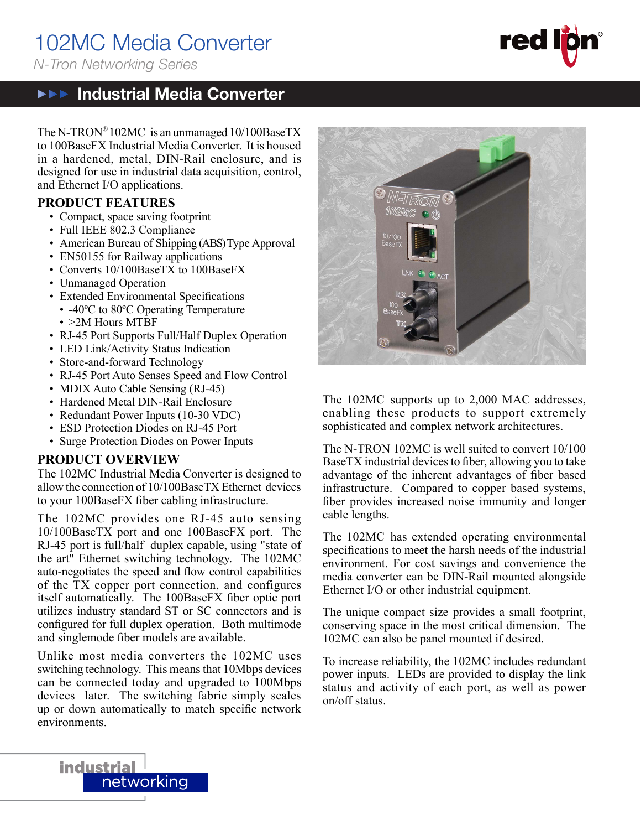## 102MC Media Converter

*N-Tron Networking Series*

## **▶▶▶ Industrial Media Converter**

**red** 

The N-TRON®102MC is an unmanaged 10/100BaseTX to 100BaseFX Industrial Media Converter. It is housed in a hardened, metal, DIN-Rail enclosure, and is designed for use in industrial data acquisition, control, and Ethernet I/O applications.

### **PRODUCT FEATURES**

- Compact, space saving footprint
- Full IEEE 802.3 Compliance
- American Bureau of Shipping (ABS) Type Approval
- EN50155 for Railway applications
- Converts 10/100BaseTX to 100BaseFX
- Unmanaged Operation
- Extended Environmental Specifications
- -40ºC to 80ºC Operating Temperature
- >2M Hours MTBF
- RJ-45 Port Supports Full/Half Duplex Operation
- LED Link/Activity Status Indication
- Store-and-forward Technology
- RJ-45 Port Auto Senses Speed and Flow Control
- MDIX Auto Cable Sensing (RJ-45)
- Hardened Metal DIN-Rail Enclosure
- Redundant Power Inputs (10-30 VDC)
- ESD Protection Diodes on RJ-45 Port
- Surge Protection Diodes on Power Inputs

### **PRODUCT OVERVIEW**

The 102MC Industrial Media Converter is designed to allow the connection of 10/100BaseTX Ethernet devices to your 100BaseFX fiber cabling infrastructure.

The 102MC provides one RJ-45 auto sensing 10/100BaseTX port and one 100BaseFX port. The RJ-45 port is full/half duplex capable, using "state of the art" Ethernet switching technology. The 102MC auto-negotiates the speed and flow control capabilities of the TX copper port connection, and configures itself automatically. The 100BaseFX fiber optic port utilizes industry standard ST or SC connectors and is configured for full duplex operation. Both multimode and singlemode fiber models are available.

Unlike most media converters the 102MC uses switching technology. This means that 10Mbps devices can be connected today and upgraded to 100Mbps devices later. The switching fabric simply scales up or down automatically to match specific network environments.



The 102MC supports up to 2,000 MAC addresses, enabling these products to support extremely sophisticated and complex network architectures.

The N-TRON 102MC is well suited to convert 10/100 BaseTX industrial devices to fiber, allowing you to take advantage of the inherent advantages of fiber based infrastructure. Compared to copper based systems, fiber provides increased noise immunity and longer cable lengths.

The 102MC has extended operating environmental specifications to meet the harsh needs of the industrial environment. For cost savings and convenience the media converter can be DIN-Rail mounted alongside Ethernet I/O or other industrial equipment.

The unique compact size provides a small footprint, conserving space in the most critical dimension. The 102MC can also be panel mounted if desired.

To increase reliability, the 102MC includes redundant power inputs. LEDs are provided to display the link status and activity of each port, as well as power on/off status.

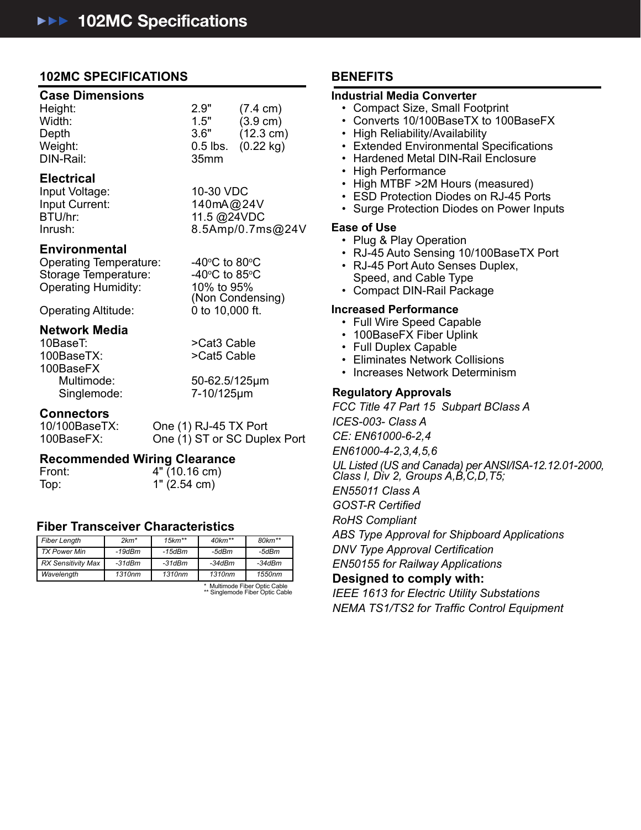### **102MC SPECIFICATIONS**

#### **Case Dimensions**

| Height:   | 2.9"             | $(7.4 \text{ cm})$     |
|-----------|------------------|------------------------|
| Width:    | 1.5"             | $(3.9 \text{ cm})$     |
| Depth     | 3.6"             | $(12.3 \text{ cm})$    |
| Weight:   |                  | $0.5$ lbs. $(0.22$ kg) |
| DIN-Rail: | 35 <sub>mm</sub> |                        |

### **Electrical**

Input Voltage: 10-30 VDC

Input Current: 140mA@24V BTU/hr: 11.5 @24VDC Inrush: 8.5Amp/0.7ms@24V

C to 80 $\circ$ C

C to 85 $\circ$ C

### **Environmental**

Operating Temperature: Storage Temperature: 40°C to 85°<br>Operating Humidity: 10% to 95% Operating Humidity: 10% to 95%<br>
(Non Condensing)<br>
Operating Altitude: 0 to 10,000 ft.

Operating Altitude:

## **Network Media**

100BaseTX: >Cat5 Cable 100BaseFX Singlemode: 7-10/125μm

>Cat3 Cable

Multimode: 50-62.5/125μm

## **Connectors**<br>10/100BaseTX:

One (1) RJ-45 TX Port 100BaseFX: One (1) ST or SC Duplex Port

# **Recommended Wiring Clearance**<br>Front: 4" (10.16 cm)

4" (10.16 cm) Top: 1" (2.54 cm)

### **Fiber Transceiver Characteristics**

| Fiber Length                                                                   | $2km*$   | $15km**$ | $40km**$ | $80 km^{**}$ |  |
|--------------------------------------------------------------------------------|----------|----------|----------|--------------|--|
| TX Power Min                                                                   | $-19dBm$ | $-15dBm$ | -5dBm    | -5dBm        |  |
| RX Sensitivity Max                                                             | $-31dBm$ | -31dBm   | -34dBm   | -34dBm       |  |
| Wavelength                                                                     | 1310nm   | 1310nm   | 1310nm   | 1550nm       |  |
| $\star$ . A distance of a $\Box$ is a sequence of a state of a state of $\Box$ |          |          |          |              |  |

\* Multimode Fiber Optic Cable \*\* Singlemode Fiber Optic Cable

### **BENEFITS**

### **Industrial Media Converter**

- Compact Size, Small Footprint
- Converts 10/100BaseTX to 100BaseFX
- High Reliability/Availability
- Extended Environmental Specifications
- Hardened Metal DIN-Rail Enclosure
- High Performance
- High MTBF >2M Hours (measured)
- ESD Protection Diodes on RJ-45 Ports
- Surge Protection Diodes on Power Inputs

#### **Ease of Use**

- Plug & Play Operation
- RJ-45 Auto Sensing 10/100BaseTX Port
- RJ-45 Port Auto Senses Duplex, Speed, and Cable Type
- Compact DIN-Rail Package

#### **Increased Performance**

- Full Wire Speed Capable
- 100BaseFX Fiber Uplink
- Full Duplex Capable
- Eliminates Network Collisions
- Increases Network Determinism

### **Regulatory Approvals**

*FCC Title 47 Part 15 Subpart BClass A ICES-003- Class A CE: EN61000-6-2,4 EN61000-4-2,3,4,5,6 UL Listed (US and Canada) per ANSI/ISA-12.12.01-2000, Class I, Div 2, Groups A,B,C,D,T5; EN55011 Class A GOST-R Certifi ed RoHS Compliant ABS Type Approval for Shipboard Applications DNV Type Approval Certifi cation EN50155 for Railway Applications*

**Designed to comply with:**

*IEEE 1613 for Electric Utility Substations NEMA TS1/TS2 for Traffi c Control Equipment*